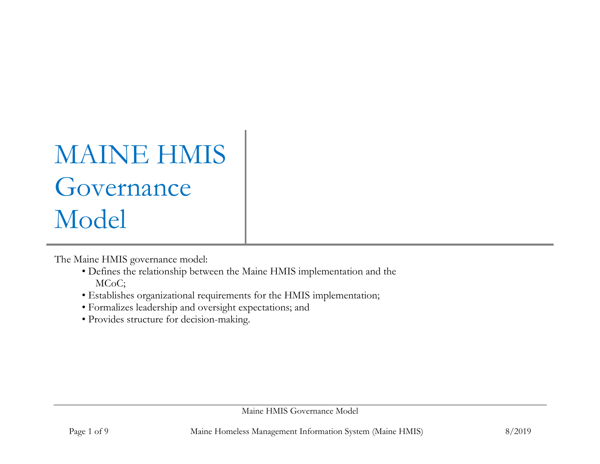## MAINE HMIS Governance Model

The Maine HMIS governance model:

- Defines the relationship between the Maine HMIS implementation and the MCoC;
- Establishes organizational requirements for the HMIS implementation;
- Formalizes leadership and oversight expectations; and
- Provides structure for decision-making.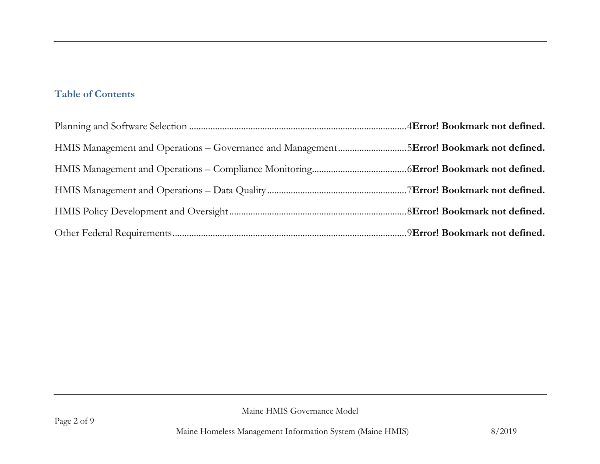## **Table of Contents**

| HMIS Management and Operations – Governance and Management5Error! Bookmark not defined. |  |
|-----------------------------------------------------------------------------------------|--|
|                                                                                         |  |
|                                                                                         |  |
|                                                                                         |  |
|                                                                                         |  |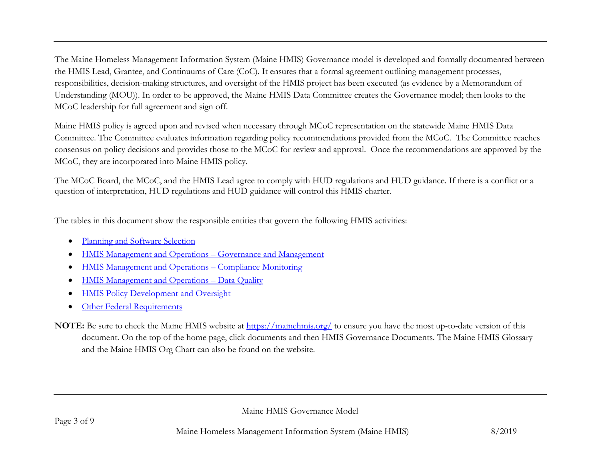The Maine Homeless Management Information System (Maine HMIS) Governance model is developed and formally documented between the HMIS Lead, Grantee, and Continuums of Care (CoC). It ensures that a formal agreement outlining management processes, responsibilities, decision-making structures, and oversight of the HMIS project has been executed (as evidence by a Memorandum of Understanding (MOU)). In order to be approved, the Maine HMIS Data Committee creates the Governance model; then looks to the MCoC leadership for full agreement and sign off.

Maine HMIS policy is agreed upon and revised when necessary through MCoC representation on the statewide Maine HMIS Data Committee. The Committee evaluates information regarding policy recommendations provided from the MCoC. The Committee reaches consensus on policy decisions and provides those to the MCoC for review and approval. Once the recommendations are approved by the MCoC, they are incorporated into Maine HMIS policy.

The MCoC Board, the MCoC, and the HMIS Lead agree to comply with HUD regulations and HUD guidance. If there is a conflict or a question of interpretation, HUD regulations and HUD guidance will control this HMIS charter.

The tables in this document show the responsible entities that govern the following HMIS activities:

- [Planning and Software Selection](#page-3-0)
- [HMIS Management and Operations](#page-4-0)  Governance and Management
- [HMIS Management and Operations](#page-5-0)  Compliance Monitoring
- [HMIS Management and Operations](#page-6-0)  Data Quality
- [HMIS Policy Development and Oversight](#page-7-0)
- [Other Federal Requirements](#page-8-0)
- **NOTE:** Be sure to check the Maine HMIS website at<https://mainehmis.org/> to ensure you have the most up-to-date version of this document. On the top of the home page, click documents and then HMIS Governance Documents. The Maine HMIS Glossary and the Maine HMIS Org Chart can also be found on the website.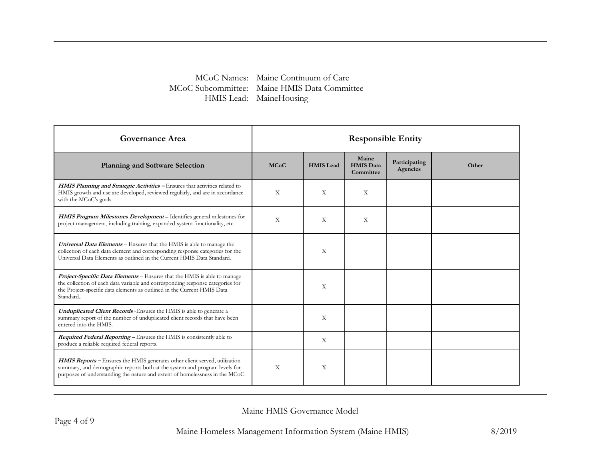## MCoC Names: Maine Continuum of Care MCoC Subcommittee: Maine HMIS Data Committee HMIS Lead: MaineHousing

<span id="page-3-0"></span>

| <b>Governance Area</b>                                                                                                                                                                                                                                   | <b>Responsible Entity</b> |                  |                                        |                           |       |
|----------------------------------------------------------------------------------------------------------------------------------------------------------------------------------------------------------------------------------------------------------|---------------------------|------------------|----------------------------------------|---------------------------|-------|
| <b>Planning and Software Selection</b>                                                                                                                                                                                                                   | <b>MCoC</b>               | <b>HMIS</b> Lead | Maine<br><b>HMIS Data</b><br>Committee | Participating<br>Agencies | Other |
| <b>HMIS Planning and Strategic Activities – Ensures that activities related to</b><br>HMIS growth and use are developed, reviewed regularly, and are in accordance<br>with the MCoC's goals.                                                             | X                         | X                | X                                      |                           |       |
| <b>HMIS Program Milestones Development</b> – Identifies general milestones for<br>project management, including training, expanded system functionality, etc.                                                                                            | $\mathbf{x}$              | X                | X                                      |                           |       |
| Universal Data Elements - Ensures that the HMIS is able to manage the<br>collection of each data element and corresponding response categories for the<br>Universal Data Elements as outlined in the Current HMIS Data Standard.                         |                           | X                |                                        |                           |       |
| <b>Project-Specific Data Elements</b> – Ensures that the HMIS is able to manage<br>the collection of each data variable and corresponding response categories for<br>the Project-specific data elements as outlined in the Current HMIS Data<br>Standard |                           | X                |                                        |                           |       |
| <b>Unduplicated Client Records</b> - Ensures the HMIS is able to generate a<br>summary report of the number of unduplicated client records that have been<br>entered into the HMIS.                                                                      |                           | X                |                                        |                           |       |
| <b>Required Federal Reporting – Ensures the HMIS is consistently able to</b><br>produce a reliable required federal reports.                                                                                                                             |                           | X                |                                        |                           |       |
| <b>HMIS Reports -</b> Ensures the HMIS generates other client served, utilization<br>summary, and demographic reports both at the system and program levels for<br>purposes of understanding the nature and extent of homelessness in the MCoC.          | $\mathbf{x}$              | X                |                                        |                           |       |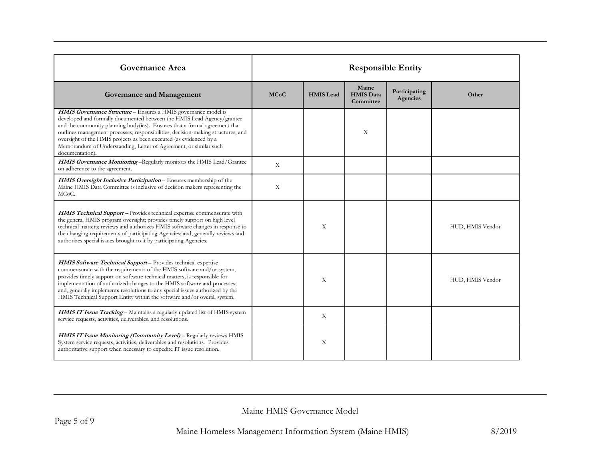<span id="page-4-0"></span>

| <b>Governance Area</b>                                                                                                                                                                                                                                                                                                                                                                                                                                                   | <b>Responsible Entity</b> |                  |                                        |                           |                  |
|--------------------------------------------------------------------------------------------------------------------------------------------------------------------------------------------------------------------------------------------------------------------------------------------------------------------------------------------------------------------------------------------------------------------------------------------------------------------------|---------------------------|------------------|----------------------------------------|---------------------------|------------------|
| Governance and Management                                                                                                                                                                                                                                                                                                                                                                                                                                                | <b>MCoC</b>               | <b>HMIS</b> Lead | Maine<br><b>HMIS Data</b><br>Committee | Participating<br>Agencies | Other            |
| HMIS Governance Structure - Ensures a HMIS governance model is<br>developed and formally documented between the HMIS Lead Agency/grantee<br>and the community planning body(ies). Ensures that a formal agreement that<br>outlines management processes, responsibilities, decision-making structures, and<br>oversight of the HMIS projects as been executed (as evidenced by a<br>Memorandum of Understanding, Letter of Agreement, or similar such<br>documentation). |                           |                  | X                                      |                           |                  |
| HMIS Governance Monitoring-Regularly monitors the HMIS Lead/Grantee<br>on adherence to the agreement.                                                                                                                                                                                                                                                                                                                                                                    | X                         |                  |                                        |                           |                  |
| HMIS Oversight Inclusive Participation - Ensures membership of the<br>Maine HMIS Data Committee is inclusive of decision makers representing the<br>MC <sub>o</sub> C.                                                                                                                                                                                                                                                                                                   | $\mathbf X$               |                  |                                        |                           |                  |
| <b>HMIS Technical Support - Provides technical expertise commensurate with</b><br>the general HMIS program oversight; provides timely support on high level<br>technical matters; reviews and authorizes HMIS software changes in response to<br>the changing requirements of participating Agencies; and, generally reviews and<br>authorizes special issues brought to it by participating Agencies.                                                                   |                           | X                |                                        |                           | HUD, HMIS Vendor |
| HMIS Software Technical Support-Provides technical expertise<br>commensurate with the requirements of the HMIS software and/or system;<br>provides timely support on software technical matters; is responsible for<br>implementation of authorized changes to the HMIS software and processes;<br>and, generally implements resolutions to any special issues authorized by the<br>HMIS Technical Support Entity within the software and/or overall system.             |                           | X                |                                        |                           | HUD, HMIS Vendor |
| HMIS IT Issue Tracking - Maintains a regularly updated list of HMIS system<br>service requests, activities, deliverables, and resolutions.                                                                                                                                                                                                                                                                                                                               |                           | X                |                                        |                           |                  |
| HMIS IT Issue Monitoring (Community Level) - Regularly reviews HMIS<br>System service requests, activities, deliverables and resolutions. Provides<br>authoritative support when necessary to expedite IT issue resolution.                                                                                                                                                                                                                                              |                           | X                |                                        |                           |                  |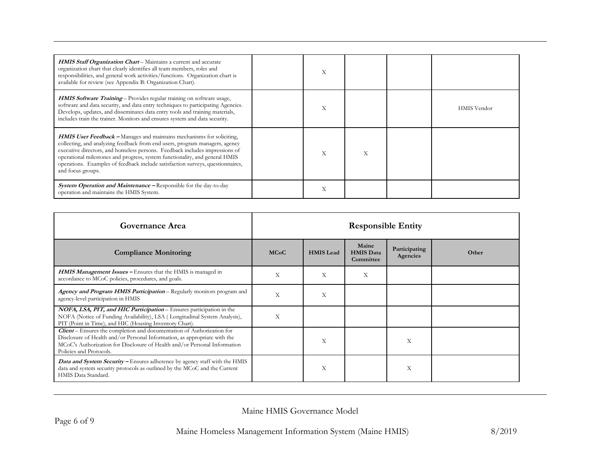| <b>HMIS Staff Organization Chart</b> – Maintains a current and accurate<br>organization chart that clearly identifies all team members, roles and<br>responsibilities, and general work activities/functions. Organization chart is<br>available for review (see Appendix B: Organization Chart).                                                                                                                                | X |  |                    |
|----------------------------------------------------------------------------------------------------------------------------------------------------------------------------------------------------------------------------------------------------------------------------------------------------------------------------------------------------------------------------------------------------------------------------------|---|--|--------------------|
| HMIS Software Training - Provides regular training on software usage,<br>software and data security, and data entry techniques to participating Agencies.<br>Develops, updates, and disseminates data entry tools and training materials,<br>includes train the trainer. Monitors and ensures system and data security.                                                                                                          | X |  | <b>HMIS</b> Vendor |
| <b>HMIS User Feedback -</b> Manages and maintains mechanisms for soliciting,<br>collecting, and analyzing feedback from end users, program managers, agency<br>executive directors, and homeless persons. Feedback includes impressions of<br>operational milestones and progress, system functionality, and general HMIS<br>operations. Examples of feedback include satisfaction surveys, questionnaires,<br>and focus groups. | X |  |                    |
| <b>System Operation and Maintenance - Responsible for the day-to-day</b><br>operation and maintains the HMIS System.                                                                                                                                                                                                                                                                                                             | X |  |                    |

<span id="page-5-0"></span>

| Governance Area                                                                                                                                                                                                                                             | <b>Responsible Entity</b> |                  |                                        |                                  |       |
|-------------------------------------------------------------------------------------------------------------------------------------------------------------------------------------------------------------------------------------------------------------|---------------------------|------------------|----------------------------------------|----------------------------------|-------|
| <b>Compliance Monitoring</b>                                                                                                                                                                                                                                | <b>MCoC</b>               | <b>HMIS</b> Lead | Maine<br><b>HMIS Data</b><br>Committee | Participating<br><b>Agencies</b> | Other |
| <b>HMIS Management Issues - Ensures that the HMIS is managed in</b><br>accordance to MCoC policies, procedures, and goals.                                                                                                                                  | Χ                         | X                | Χ                                      |                                  |       |
| Agency and Program HMIS Participation - Regularly monitors program and<br>agency-level participation in HMIS                                                                                                                                                | X                         | X                |                                        |                                  |       |
| NOFA, LSA, PIT, and HIC Participation - Ensures participation in the<br>NOFA (Notice of Funding Availability), LSA (Longitudinal System Analysis),<br>PIT (Point in Time), and HIC (Housing Inventory Chart).                                               | X                         |                  |                                        |                                  |       |
| Client - Ensures the completion and documentation of Authorization for<br>Disclosure of Health and/or Personal Information, as appropriate with the<br>MCoC's Authorization for Disclosure of Health and/or Personal Information<br>Policies and Protocols. |                           | X                |                                        | X                                |       |
| Data and System Security - Ensures adherence by agency staff with the HMIS<br>data and system security protocols as outlined by the MCoC and the Current<br>HMIS Data Standard.                                                                             |                           | Χ                |                                        | Х                                |       |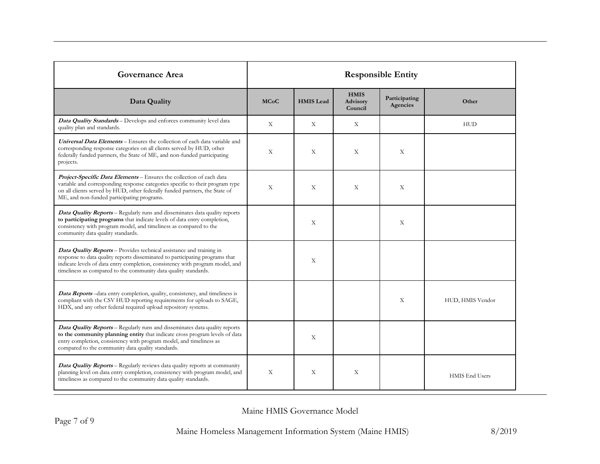<span id="page-6-0"></span>

| <b>Governance Area</b>                                                                                                                                                                                                                                                                                          | <b>Responsible Entity</b> |                  |                                           |                           |                  |
|-----------------------------------------------------------------------------------------------------------------------------------------------------------------------------------------------------------------------------------------------------------------------------------------------------------------|---------------------------|------------------|-------------------------------------------|---------------------------|------------------|
| Data Quality                                                                                                                                                                                                                                                                                                    | <b>MCoC</b>               | <b>HMIS</b> Lead | <b>HMIS</b><br><b>Advisory</b><br>Council | Participating<br>Agencies | Other            |
| Data Quality Standards - Develops and enforces community level data<br>quality plan and standards.                                                                                                                                                                                                              | X                         | X                | X                                         |                           | <b>HUD</b>       |
| Universal Data Elements - Ensures the collection of each data variable and<br>corresponding response categories on all clients served by HUD, other<br>federally funded partners, the State of ME, and non-funded participating<br>projects.                                                                    | X                         | X                | X                                         | X                         |                  |
| Project-Specific Data Elements - Ensures the collection of each data<br>variable and corresponding response categories specific to their program type<br>on all clients served by HUD, other federally funded partners, the State of<br>ME, and non-funded participating programs.                              | X                         | X                | X                                         | X                         |                  |
| <b>Data Quality Reports</b> – Regularly runs and disseminates data quality reports<br>to participating programs that indicate levels of data entry completion,<br>consistency with program model, and timeliness as compared to the<br>community data quality standards.                                        |                           | X                |                                           | X                         |                  |
| <b>Data Quality Reports</b> – Provides technical assistance and training in<br>response to data quality reports disseminated to participating programs that<br>indicate levels of data entry completion, consistency with program model, and<br>timeliness as compared to the community data quality standards. |                           | X                |                                           |                           |                  |
| <b>Data Reports</b> -data entry completion, quality, consistency, and timeliness is<br>compliant with the CSV HUD reporting requirements for uploads to SAGE,<br>HDX, and any other federal required upload repository systems.                                                                                 |                           |                  |                                           | X                         | HUD, HMIS Vendor |
| <b>Data Quality Reports</b> – Regularly runs and disseminates data quality reports<br>to the community planning entity that indicate cross program levels of data<br>entry completion, consistency with program model, and timeliness as<br>compared to the community data quality standards.                   |                           | X                |                                           |                           |                  |
| <b>Data Quality Reports</b> - Regularly reviews data quality reports at community<br>planning level on data entry completion, consistency with program model, and<br>timeliness as compared to the community data quality standards.                                                                            | X                         | X                | X                                         |                           | HMIS End Users   |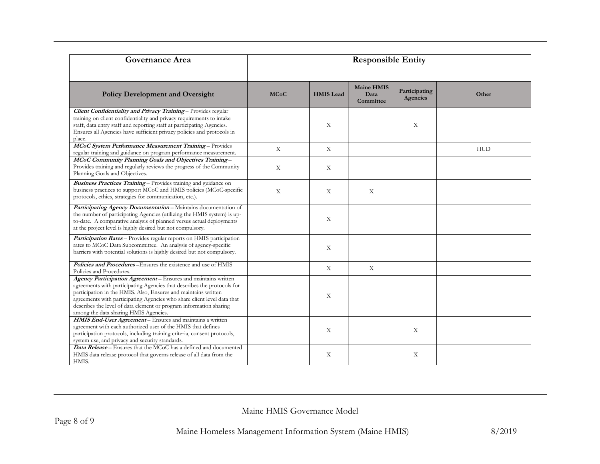<span id="page-7-0"></span>

| Governance Area                                                                                                                                                                                                                                                                                                                                                                                       | <b>Responsible Entity</b> |                  |                                        |                           |            |
|-------------------------------------------------------------------------------------------------------------------------------------------------------------------------------------------------------------------------------------------------------------------------------------------------------------------------------------------------------------------------------------------------------|---------------------------|------------------|----------------------------------------|---------------------------|------------|
| <b>Policy Development and Oversight</b>                                                                                                                                                                                                                                                                                                                                                               | <b>MCoC</b>               | <b>HMIS</b> Lead | <b>Maine HMIS</b><br>Data<br>Committee | Participating<br>Agencies | Other      |
| Client Confidentiality and Privacy Training - Provides regular<br>training on client confidentiality and privacy requirements to intake<br>staff, data entry staff and reporting staff at participating Agencies.<br>Ensures all Agencies have sufficient privacy policies and protocols in<br>place.                                                                                                 |                           | $\mathbf X$      |                                        | $\boldsymbol{\mathrm{X}}$ |            |
| MCoC System Performance Measurement Training - Provides<br>regular training and guidance on program performance measurement.                                                                                                                                                                                                                                                                          | $\boldsymbol{\mathrm{X}}$ | X                |                                        |                           | <b>HUD</b> |
| MCoC Community Planning Goals and Objectives Training-<br>Provides training and regularly reviews the progress of the Community<br>Planning Goals and Objectives.                                                                                                                                                                                                                                     | $\boldsymbol{\mathrm{X}}$ | $\mathbf X$      |                                        |                           |            |
| Business Practices Training - Provides training and guidance on<br>business practices to support MCoC and HMIS policies (MCoC-specific<br>protocols, ethics, strategies for communication, etc.).                                                                                                                                                                                                     | X                         | X                | X                                      |                           |            |
| Participating Agency Documentation - Maintains documentation of<br>the number of participating Agencies (utilizing the HMIS system) is up-<br>to-date. A comparative analysis of planned versus actual deployments<br>at the project level is highly desired but not compulsory.                                                                                                                      |                           | X                |                                        |                           |            |
| Participation Rates - Provides regular reports on HMIS participation<br>rates to MCoC Data Subcommittee. An analysis of agency-specific<br>barriers with potential solutions is highly desired but not compulsory.                                                                                                                                                                                    |                           | X                |                                        |                           |            |
| <b>Policies and Procedures</b> -Ensures the existence and use of HMIS<br>Policies and Procedures.                                                                                                                                                                                                                                                                                                     |                           | $\mathbf X$      | $\mathbf X$                            |                           |            |
| Agency Participation Agreement - Ensures and maintains written<br>agreements with participating Agencies that describes the protocols for<br>participation in the HMIS. Also, Ensures and maintains written<br>agreements with participating Agencies who share client level data that<br>describes the level of data element or program information sharing<br>among the data sharing HMIS Agencies. |                           | X                |                                        |                           |            |
| HMIS End-User Agreement - Ensures and maintains a written<br>agreement with each authorized user of the HMIS that defines<br>participation protocols, including training criteria, consent protocols,<br>system use, and privacy and security standards.                                                                                                                                              |                           | X                |                                        | X                         |            |
| Data Release - Ensures that the MCoC has a defined and documented<br>HMIS data release protocol that governs release of all data from the<br>HMIS.                                                                                                                                                                                                                                                    |                           | X                |                                        | X                         |            |